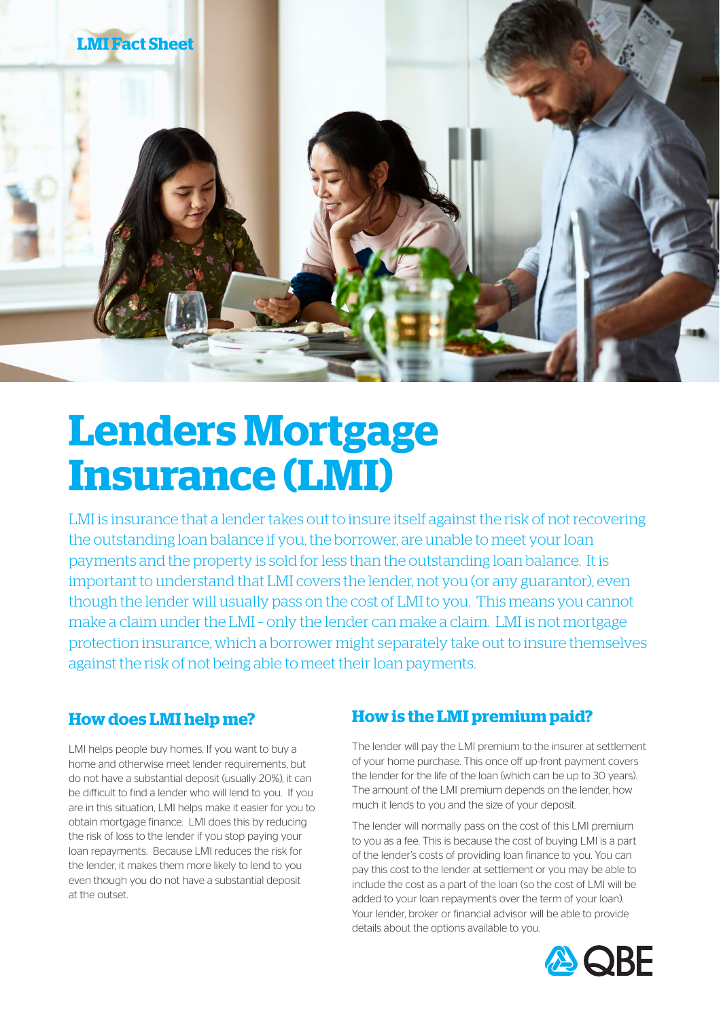

# **Lenders Mortgage Insurance (LMI)**

LMI is insurance that a lender takes out to insure itself against the risk of not recovering the outstanding loan balance if you, the borrower, are unable to meet your loan payments and the property is sold for less than the outstanding loan balance. It is important to understand that LMI covers the lender, not you (or any guarantor), even though the lender will usually pass on the cost of LMI to you. This means you cannot make a claim under the LMI – only the lender can make a claim. LMI is not mortgage protection insurance, which a borrower might separately take out to insure themselves against the risk of not being able to meet their loan payments.

#### **How does LMI help me?**

LMI helps people buy homes. If you want to buy a home and otherwise meet lender requirements, but do not have a substantial deposit (usually 20%), it can be difficult to find a lender who will lend to you. If you are in this situation, LMI helps make it easier for you to obtain mortgage finance. LMI does this by reducing the risk of loss to the lender if you stop paying your loan repayments. Because LMI reduces the risk for the lender, it makes them more likely to lend to you even though you do not have a substantial deposit at the outset.

#### **How is the LMI premium paid?**

The lender will pay the LMI premium to the insurer at settlement of your home purchase. This once off up-front payment covers the lender for the life of the loan (which can be up to 30 years). The amount of the LMI premium depends on the lender, how much it lends to you and the size of your deposit.

The lender will normally pass on the cost of this LMI premium to you as a fee. This is because the cost of buying LMI is a part of the lender's costs of providing loan finance to you. You can pay this cost to the lender at settlement or you may be able to include the cost as a part of the loan (so the cost of LMI will be added to your loan repayments over the term of your loan). Your lender, broker or financial advisor will be able to provide details about the options available to you.